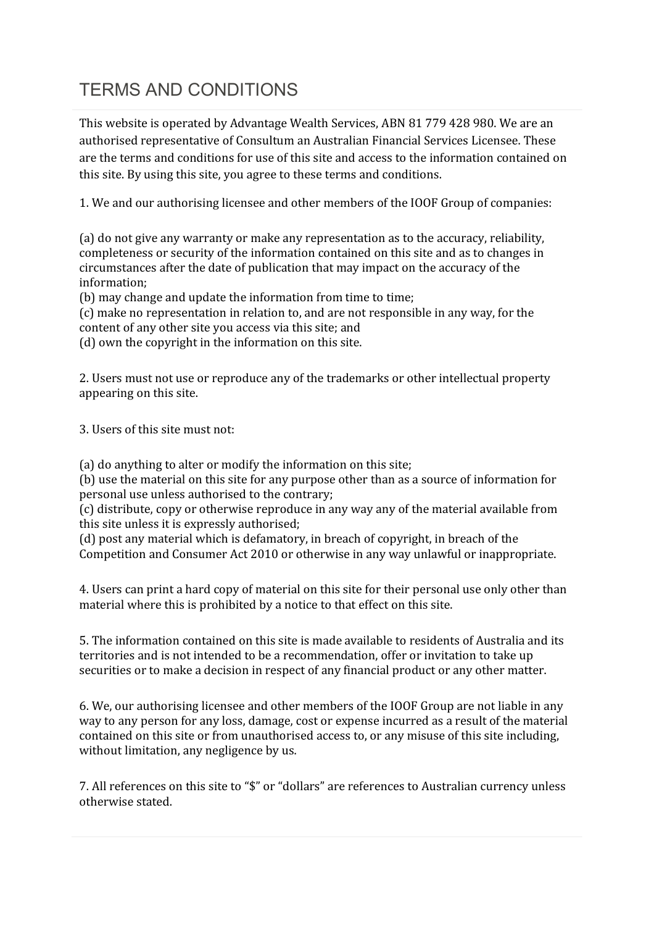## TERMS AND CONDITIONS

This website is operated by Advantage Wealth Services, ABN 81 779 428 980. We are an authorised representative of Consultum an Australian Financial Services Licensee. These are the terms and conditions for use of this site and access to the information contained on this site. By using this site, you agree to these terms and conditions.

1. We and our authorising licensee and other members of the IOOF Group of companies:

(a) do not give any warranty or make any representation as to the accuracy, reliability, completeness or security of the information contained on this site and as to changes in circumstances after the date of publication that may impact on the accuracy of the information;

(b) may change and update the information from time to time;

(c) make no representation in relation to, and are not responsible in any way, for the content of any other site you access via this site; and

(d) own the copyright in the information on this site.

2. Users must not use or reproduce any of the trademarks or other intellectual property appearing on this site.

3. Users of this site must not:

(a) do anything to alter or modify the information on this site;

(b) use the material on this site for any purpose other than as a source of information for personal use unless authorised to the contrary;

(c) distribute, copy or otherwise reproduce in any way any of the material available from this site unless it is expressly authorised;

(d) post any material which is defamatory, in breach of copyright, in breach of the Competition and Consumer Act 2010 or otherwise in any way unlawful or inappropriate.

4. Users can print a hard copy of material on this site for their personal use only other than material where this is prohibited by a notice to that effect on this site.

5. The information contained on this site is made available to residents of Australia and its territories and is not intended to be a recommendation, offer or invitation to take up securities or to make a decision in respect of any financial product or any other matter.

6. We, our authorising licensee and other members of the IOOF Group are not liable in any way to any person for any loss, damage, cost or expense incurred as a result of the material contained on this site or from unauthorised access to, or any misuse of this site including, without limitation, any negligence by us.

7. All references on this site to "\$" or "dollars" are references to Australian currency unless otherwise stated.